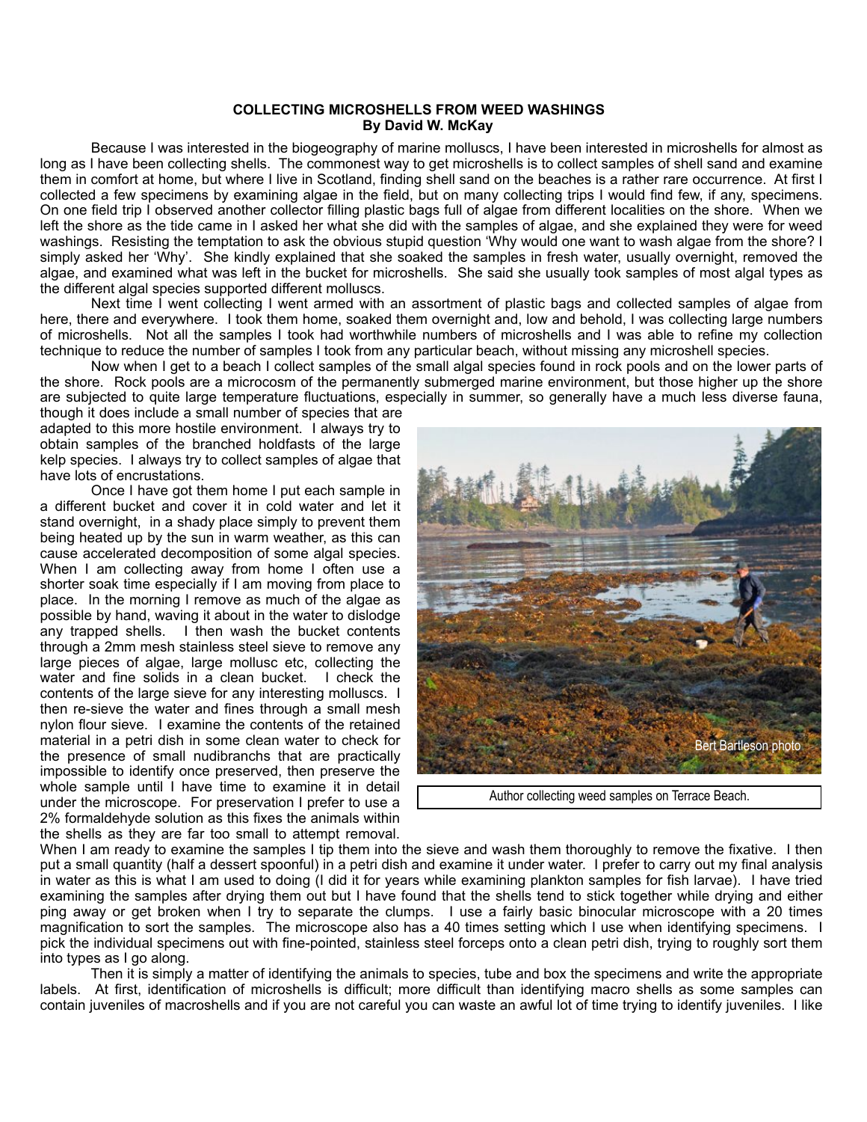## **COLLECTING MICROSHELLS FROM WEED WASHINGS By David W. McKay**

 Because I was interested in the biogeography of marine molluscs, I have been interested in microshells for almost as long as I have been collecting shells. The commonest way to get microshells is to collect samples of shell sand and examine them in comfort at home, but where I live in Scotland, finding shell sand on the beaches is a rather rare occurrence. At first I collected a few specimens by examining algae in the field, but on many collecting trips I would find few, if any, specimens. On one field trip I observed another collector filling plastic bags full of algae from different localities on the shore. When we left the shore as the tide came in I asked her what she did with the samples of algae, and she explained they were for weed washings. Resisting the temptation to ask the obvious stupid question 'Why would one want to wash algae from the shore? I simply asked her 'Why'. She kindly explained that she soaked the samples in fresh water, usually overnight, removed the algae, and examined what was left in the bucket for microshells. She said she usually took samples of most algal types as the different algal species supported different molluscs.

Next time I went collecting I went armed with an assortment of plastic bags and collected samples of algae from here, there and everywhere. I took them home, soaked them overnight and, low and behold, I was collecting large numbers of microshells. Not all the samples I took had worthwhile numbers of microshells and I was able to refine my collection technique to reduce the number of samples I took from any particular beach, without missing any microshell species.

 Now when I get to a beach I collect samples of the small algal species found in rock pools and on the lower parts of the shore. Rock pools are a microcosm of the permanently submerged marine environment, but those higher up the shore are subjected to quite large temperature fluctuations, especially in summer, so generally have a much less diverse fauna,

though it does include a small number of species that are adapted to this more hostile environment. I always try to obtain samples of the branched holdfasts of the large kelp species. I always try to collect samples of algae that have lots of encrustations.

 Once I have got them home I put each sample in a different bucket and cover it in cold water and let it stand overnight, in a shady place simply to prevent them being heated up by the sun in warm weather, as this can cause accelerated decomposition of some algal species. When I am collecting away from home I often use a shorter soak time especially if I am moving from place to place. In the morning I remove as much of the algae as possible by hand, waving it about in the water to dislodge any trapped shells. I then wash the bucket contents through a 2mm mesh stainless steel sieve to remove any large pieces of algae, large mollusc etc, collecting the water and fine solids in a clean bucket. I check the contents of the large sieve for any interesting molluscs. I then re-sieve the water and fines through a small mesh nylon flour sieve. I examine the contents of the retained material in a petri dish in some clean water to check for the presence of small nudibranchs that are practically impossible to identify once preserved, then preserve the whole sample until I have time to examine it in detail under the microscope. For preservation I prefer to use a 2% formaldehyde solution as this fixes the animals within the shells as they are far too small to attempt removal.



Author collecting weed samples on Terrace Beach.

When I am ready to examine the samples I tip them into the sieve and wash them thoroughly to remove the fixative. I then put a small quantity (half a dessert spoonful) in a petri dish and examine it under water. I prefer to carry out my final analysis in water as this is what I am used to doing (I did it for years while examining plankton samples for fish larvae). I have tried examining the samples after drying them out but I have found that the shells tend to stick together while drying and either ping away or get broken when I try to separate the clumps. I use a fairly basic binocular microscope with a 20 times magnification to sort the samples. The microscope also has a 40 times setting which I use when identifying specimens. I pick the individual specimens out with fine-pointed, stainless steel forceps onto a clean petri dish, trying to roughly sort them into types as I go along.

 Then it is simply a matter of identifying the animals to species, tube and box the specimens and write the appropriate labels. At first, identification of microshells is difficult; more difficult than identifying macro shells as some samples can contain juveniles of macroshells and if you are not careful you can waste an awful lot of time trying to identify juveniles. I like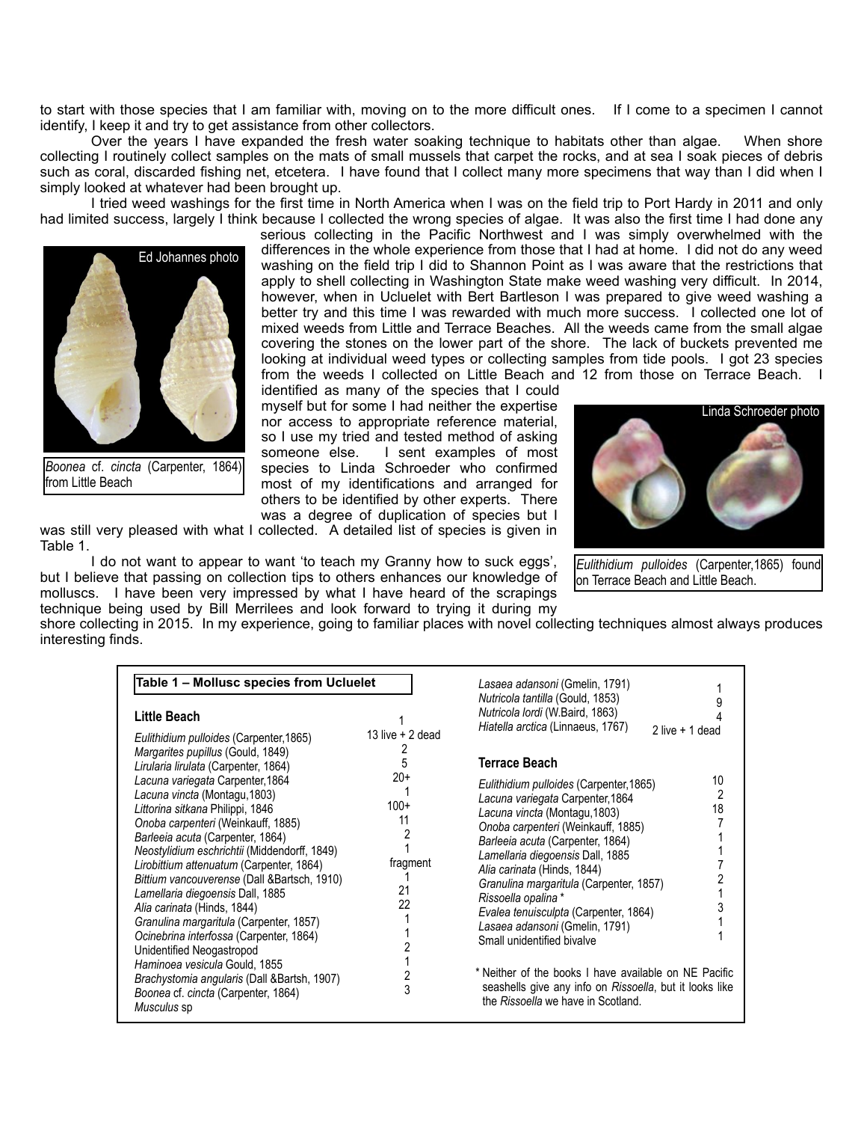to start with those species that I am familiar with, moving on to the more difficult ones. If I come to a specimen I cannot identify, I keep it and try to get assistance from other collectors.

Over the years I have expanded the fresh water soaking technique to habitats other than algae. When shore collecting I routinely collect samples on the mats of small mussels that carpet the rocks, and at sea I soak pieces of debris such as coral, discarded fishing net, etcetera. I have found that I collect many more specimens that way than I did when I simply looked at whatever had been brought up.

 I tried weed washings for the first time in North America when I was on the field trip to Port Hardy in 2011 and only had limited success, largely I think because I collected the wrong species of algae. It was also the first time I had done any



*Boonea* cf. *cincta* (Carpenter, 1864) from Little Beach

serious collecting in the Pacific Northwest and I was simply overwhelmed with the differences in the whole experience from those that I had at home. I did not do any weed washing on the field trip I did to Shannon Point as I was aware that the restrictions that apply to shell collecting in Washington State make weed washing very difficult. In 2014, however, when in Ucluelet with Bert Bartleson I was prepared to give weed washing a better try and this time I was rewarded with much more success. I collected one lot of mixed weeds from Little and Terrace Beaches. All the weeds came from the small algae covering the stones on the lower part of the shore. The lack of buckets prevented me looking at individual weed types or collecting samples from tide pools. I got 23 species from the weeds I collected on Little Beach and 12 from those on Terrace Beach. I

identified as many of the species that I could myself but for some I had neither the expertise nor access to appropriate reference material, so I use my tried and tested method of asking someone else. I sent examples of most species to Linda Schroeder who confirmed most of my identifications and arranged for others to be identified by other experts. There was a degree of duplication of species but I

was still very pleased with what I collected. A detailed list of species is given in Table 1.

 I do not want to appear to want 'to teach my Granny how to suck eggs', but I believe that passing on collection tips to others enhances our knowledge of molluscs. I have been very impressed by what I have heard of the scrapings technique being used by Bill Merrilees and look forward to trying it during my



*Eulithidium pulloides* (Carpenter,1865) found on Terrace Beach and Little Beach.

shore collecting in 2015. In my experience, going to familiar places with novel collecting techniques almost always produces interesting finds.

| Table 1 - Mollusc species from Ucluelet                                                                                                                                                                                                                                                                                                                                                                                                                                                                                                                                                                                                                  |                                                    | Lasaea adansoni (Gmelin, 1791)                                                                                                                                                                                                                                                                                                                                                                                                                                                                                                                                                                 |                  |
|----------------------------------------------------------------------------------------------------------------------------------------------------------------------------------------------------------------------------------------------------------------------------------------------------------------------------------------------------------------------------------------------------------------------------------------------------------------------------------------------------------------------------------------------------------------------------------------------------------------------------------------------------------|----------------------------------------------------|------------------------------------------------------------------------------------------------------------------------------------------------------------------------------------------------------------------------------------------------------------------------------------------------------------------------------------------------------------------------------------------------------------------------------------------------------------------------------------------------------------------------------------------------------------------------------------------------|------------------|
| Little Beach<br>Eulithidium pulloides (Carpenter, 1865)                                                                                                                                                                                                                                                                                                                                                                                                                                                                                                                                                                                                  | 13 live $+2$ dead                                  | Nutricola tantilla (Gould, 1853)<br>Nutricola lordi (W.Baird, 1863)<br>Hiatella arctica (Linnaeus, 1767)                                                                                                                                                                                                                                                                                                                                                                                                                                                                                       | 2 live $+1$ dead |
| Margarites pupillus (Gould, 1849)<br>Lirularia lirulata (Carpenter, 1864)                                                                                                                                                                                                                                                                                                                                                                                                                                                                                                                                                                                | 5                                                  | Terrace Beach                                                                                                                                                                                                                                                                                                                                                                                                                                                                                                                                                                                  |                  |
| Lacuna variegata Carpenter, 1864<br>Lacuna vincta (Montagu, 1803)<br>Littorina sitkana Philippi, 1846<br>Onoba carpenteri (Weinkauff, 1885)<br>Barleeia acuta (Carpenter, 1864)<br>Neostylidium eschrichtii (Middendorff, 1849)<br>Lirobittium attenuatum (Carpenter, 1864)<br>Bittium vancouverense (Dall & Bartsch, 1910)<br>Lamellaria diegoensis Dall, 1885<br>Alia carinata (Hinds, 1844)<br>Granulina margaritula (Carpenter, 1857)<br>Ocinebrina interfossa (Carpenter, 1864)<br>Unidentified Neogastropod<br>Haminoea vesicula Gould, 1855<br>Brachystomia angularis (Dall & Bartsh, 1907)<br>Boonea cf. cincta (Carpenter, 1864)<br>Musculus sp | $20+$<br>$100+$<br>11<br>fragment<br>21<br>22<br>3 | Eulithidium pulloides (Carpenter, 1865)<br>Lacuna variegata Carpenter, 1864<br>Lacuna vincta (Montagu, 1803)<br>Onoba carpenteri (Weinkauff, 1885)<br>Barleeia acuta (Carpenter, 1864)<br>Lamellaria diegoensis Dall, 1885<br>Alia carinata (Hinds, 1844)<br>Granulina margaritula (Carpenter, 1857)<br>Rissoella opalina *<br>Evalea tenuisculpta (Carpenter, 1864)<br>Lasaea adansoni (Gmelin, 1791)<br>Small unidentified bivalve<br>* Neither of the books I have available on NE Pacific<br>seashells give any info on Rissoella, but it looks like<br>the Rissoella we have in Scotland. | 10<br>2<br>18    |